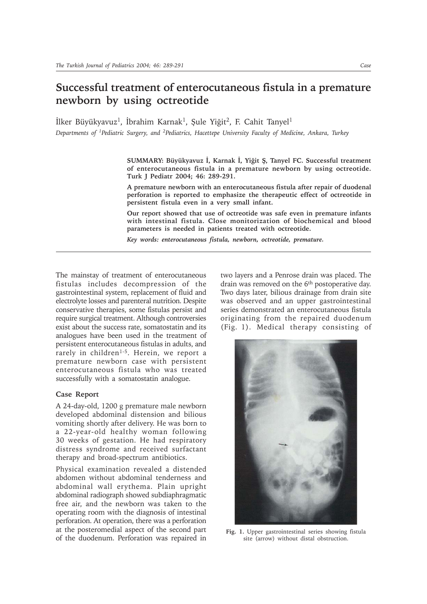## **Successful treatment of enterocutaneous fistula in a premature newborn by using octreotide**

İlker Büyükyavuz<sup>1</sup>, İbrahim Karnak<sup>1</sup>, Şule Yiğit<sup>2</sup>, F. Cahit Tanyel<sup>1</sup> *Departments of 1Pediatric Surgery, and 2Pediatrics, Hacettepe University Faculty of Medicine, Ankara, Turkey*

> SUMMARY: Büyükyavuz İ, Karnak İ, Yiğit Ş, Tanyel FC. Successful treatment **of enterocutaneous fistula in a premature newborn by using octreotide. Turk J Pediatr 2004; 46: 289-291.**

> **A premature newborn with an enterocutaneous fistula after repair of duodenal perforation is reported to emphasize the therapeutic effect of octreotide in persistent fistula even in a very small infant.**

> **Our report showed that use of octreotide was safe even in premature infants with intestinal fistula. Close monitorization of biochemical and blood parameters is needed in patients treated with octreotide.**

*Key words: enterocutaneous fistula, newborn, octreotide, premature.*

The mainstay of treatment of enterocutaneous fistulas includes decompression of the gastrointestinal system, replacement of fluid and electrolyte losses and parenteral nutrition. Despite conservative therapies, some fistulas persist and require surgical treatment. Although controversies exist about the success rate, somatostatin and its analogues have been used in the treatment of persistent enterocutaneous fistulas in adults, and rarely in children<sup>1-5</sup>. Herein, we report a premature newborn case with persistent enterocutaneous fistula who was treated successfully with a somatostatin analogue.

## **Case Report**

A 24-day-old, 1200 g premature male newborn developed abdominal distension and bilious vomiting shortly after delivery. He was born to a 22-year-old healthy woman following 30 weeks of gestation. He had respiratory distress syndrome and received surfactant therapy and broad-spectrum antibiotics.

Physical examination revealed a distended abdomen without abdominal tenderness and abdominal wall erythema. Plain upright abdominal radiograph showed subdiaphragmatic free air, and the newborn was taken to the operating room with the diagnosis of intestinal perforation. At operation, there was a perforation at the posteromedial aspect of the second part of the duodenum. Perforation was repaired in two layers and a Penrose drain was placed. The drain was removed on the 6<sup>th</sup> postoperative day. Two days later, bilious drainage from drain site was observed and an upper gastrointestinal series demonstrated an enterocutaneous fistula originating from the repaired duodenum (Fig. 1). Medical therapy consisting of



**Fig. 1.** Upper gastrointestinal series showing fistula site (arrow) without distal obstruction.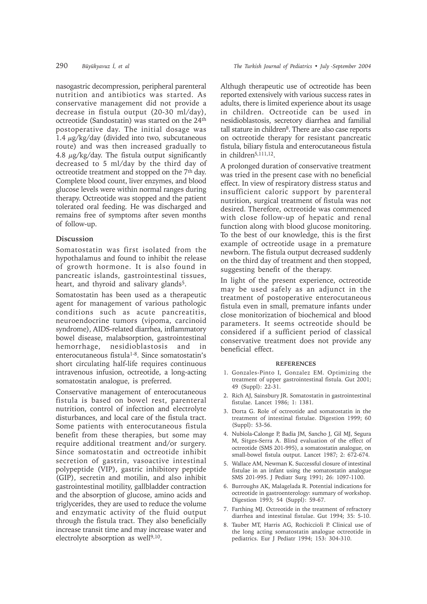nasogastric decompression, peripheral parenteral nutrition and antibiotics was started. As conservative management did not provide a decrease in fistula output (20-30 ml/day), octreotide (Sandostatin) was started on the 24<sup>th</sup> postoperative day. The initial dosage was 1.4  $\mu$ g/kg/day (divided into two, subcutaneous route) and was then increased gradually to 4.8  $\mu$ g/kg/day. The fistula output significantly decreased to 5 ml/day by the third day of octreotide treatment and stopped on the 7<sup>th</sup> day. Complete blood count, liver enzymes, and blood glucose levels were within normal ranges during therapy. Octreotide was stopped and the patient tolerated oral feeding. He was discharged and remains free of symptoms after seven months of follow-up.

## **Discussion**

Somatostatin was first isolated from the hypothalamus and found to inhibit the release of growth hormone. It is also found in pancreatic islands, gastrointestinal tissues, heart, and thyroid and salivary glands<sup>5</sup>.

Somatostatin has been used as a therapeutic agent for management of various pathologic conditions such as acute pancreatitis, neuroendocrine tumors (vipoma, carcinoid syndrome), AIDS-related diarrhea, inflammatory bowel disease, malabsorption, gastrointestinal hemorrhage, nesidioblastosis and in enterocutaneous fistula<sup>1-8</sup>. Since somatostatin's short circulating half-life requires continuous intravenous infusion, octreotide, a long-acting somatostatin analogue, is preferred.

Conservative management of enterocutaneous fistula is based on bowel rest, parenteral nutrition, control of infection and electrolyte disturbances, and local care of the fistula tract. Some patients with enterocutaneous fistula benefit from these therapies, but some may require additional treatment and/or surgery. Since somatostatin and octreotide inhibit secretion of gastrin, vasoactive intestinal polypeptide (VIP), gastric inhibitory peptide (GIP), secretin and motilin, and also inhibit gastrointestinal motility, gallbladder contraction and the absorption of glucose, amino acids and triglycerides, they are used to reduce the volume and enzymatic activity of the fluid output through the fistula tract. They also beneficially increase transit time and may increase water and electrolyte absorption as well<sup>9,10</sup>.

Althugh therapeutic use of octreotide has been reported extensively with various success rates in adults, there is limited experience about its usage in children. Octreotide can be used in nesidioblastosis, secretory diarrhea and familial tall stature in children<sup>8</sup>. There are also case reports on octreotide therapy for resistant pancreatic fistula, biliary fistula and enterocutaneous fistula in children<sup>5,111,12</sup>.

A prolonged duration of conservative treatment was tried in the present case with no beneficial effect. In view of respiratory distress status and insufficient caloric support by parenteral nutrition, surgical treatment of fistula was not desired. Therefore, octreotide was commenced with close follow-up of hepatic and renal function along with blood glucose monitoring. To the best of our knowledge, this is the first example of octreotide usage in a premature newborn. The fistula output decreased suddenly on the third day of treatment and then stopped, suggesting benefit of the therapy.

In light of the present experience, octreotide may be used safely as an adjunct in the treatment of postoperative enterocutaneous fistula even in small, premature infants under close monitorization of biochemical and blood parameters. It seems octreotide should be considered if a sufficient period of classical conservative treatment does not provide any beneficial effect.

## **REFERENCES**

- 1. Gonzales-Pinto I, Gonzalez EM. Optimizing the treatment of upper gastrointestinal fistula. Gut 2001; 49 (Suppl): 22-31.
- 2. Rich AJ, Sainsbury JR. Somatostatin in gastrointestinal fistulae. Lancet 1986; 1: 1381.
- 3. Dorta G. Role of octreotide and somatostatin in the treatment of intestinal fistulae. Digestion 1999; 60 (Suppl): 53-56.
- 4. Nubiola-Calonge P, Badia JM, Sancho J, Gil MJ, Segura M, Sitges-Serra A. Blind evaluation of the effect of octreotide (SMS 201-995), a somatostatin analogue, on small-bowel fistula output. Lancet 1987; 2: 672-674.
- 5. Wallace AM, Newman K. Successful closure of intestinal fistulae in an infant using the somatostatin analogue SMS 201-995. J Pediatr Surg 1991; 26: 1097-1100.
- 6. Burroughs AK, Malagelada R. Potential indications for octreotide in gastroenterology: summary of workshop. Digestion 1993; 54 (Suppl): 59-67.
- 7. Farthing MJ. Octreotide in the treatment of refractory diarrhea and intestinal fistulae. Gut 1994; 35: 5-10.
- 8. Tauber MT, Harris AG, Rochiccioli P. Clinical use of the long acting somatostatin analogue octreotide in pediatrics. Eur J Pediatr 1994; 153: 304-310.